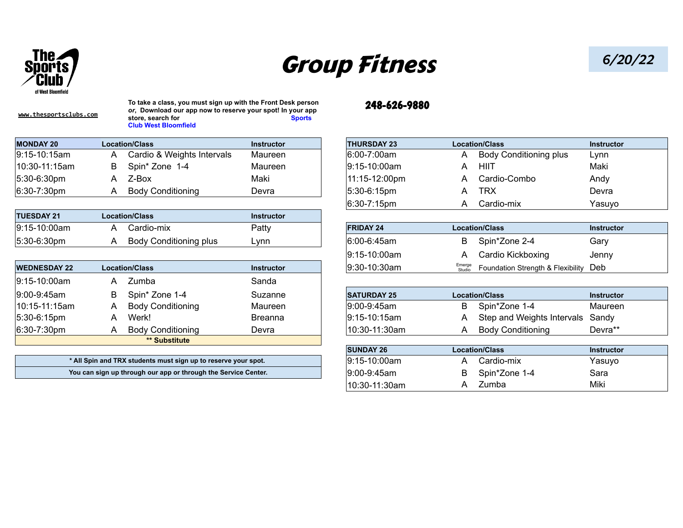

## Group Fitness *6/20/22*

**[www.thesportsclubs.com](http://www.thesportsclubs.com)**

**To take a class, you must sign up with the Front Desk person** *or***, Download our app now to reserve your spot! In your app**  store, search for Sports **Sports Club West Bloomfield**

| <b>MONDAY 20</b>    | <b>Location/Class</b>      | Instructor | <b>THURSDAY 23</b> |  | <b>Location/Class</b>         | Instructor |
|---------------------|----------------------------|------------|--------------------|--|-------------------------------|------------|
| $ 9:15 - 10:15$ am  | Cardio & Weights Intervals | Maureen    | $ 6:00 - 7:00$ am  |  | <b>Body Conditioning plus</b> | Lynn       |
| $ 10:30 - 11:15$ am | Spin* Zone 1-4             | Maureen    | $ 9:15-10:00$ am   |  | HIIT                          | Maki       |
| $ 5:30-6:30$ pm     | Z-Box                      | Maki       | 11:15-12:00pm      |  | Cardio-Combo                  | Andy       |
| $ 6:30-7:30$ pm     | <b>Body Conditioning</b>   | Devra      | $ 5:30-6:15$ pm    |  | TRX                           | Devra      |

| <b>TUESDAY 21</b> | <b>Location/Class</b>       | Instructor |                  |                       |            |
|-------------------|-----------------------------|------------|------------------|-----------------------|------------|
| $9:15 - 10:00am$  | Cardio-mix                  | $P$ atty   | <b>FRIDAY 24</b> | <b>Location/Class</b> | Instructor |
| 5:30-6:30pm       | Conditioning plus<br>Body : | Lynn       | 6:00-6:45am      | Spin*Zone 2-4         | Garv       |

| <b>WEDNESDAY 22</b> | <b>Location/Class</b>    | <b>Instructor</b> | $ 9:30 - 10:30$ am | Emerge<br>Studio | Foundation Strength & Flexibility Deb |                   |
|---------------------|--------------------------|-------------------|--------------------|------------------|---------------------------------------|-------------------|
| $ 9:15-10:00$ am    | Zumba                    | Sanda             |                    |                  |                                       |                   |
| $ 9:00-9:45$ am     | Spin* Zone 1-4           | Suzanne           | <b>SATURDAY 25</b> |                  | <b>Location/Class</b>                 | <b>Instructor</b> |
| $ 10:15-11:15am $   | <b>Body Conditioning</b> | Maureen           | $ 9:00 - 9:45$ am  | B                | Spin*Zone 1-4                         | Maureen           |
| $ 5:30-6:15$ pm     | Werk!                    | <b>Breanna</b>    | $ 9:15-10:15am $   | A                | Step and Weights Intervals Sandy      |                   |
| $ 6:30 - 7:30$ pm   | <b>Body Conditioning</b> | Devra             | 10:30-11:30am      | A                | <b>Body Conditioning</b>              | Devra**           |
|                     | ** Substitute            |                   |                    |                  |                                       |                   |

| * All Spin and TRX students must sign up to reserve your spot. |  |
|----------------------------------------------------------------|--|
| You can sign up through our app or through the Service Center. |  |

## 248-626-9880

| <b>THURSDAY 23</b> |   | <b>Location/Class</b>         | <b>Instructor</b> |
|--------------------|---|-------------------------------|-------------------|
| 6:00-7:00am        | A | <b>Body Conditioning plus</b> | Lynn              |
| $ 9:15-10:00am $   | А | HIIT                          | Maki              |
| 11:15-12:00pm      | A | Cardio-Combo                  | Andy              |
| $ 5:30-6:15$ pm    | А | TRX                           | Devra             |
| $ 6:30 - 7:15$ pm  | A | Cardio-mix                    | Yasuyo            |
|                    |   |                               |                   |
| <b>FRIDAY 24</b>   |   | <b>Location/Class</b>         | <b>Instructor</b> |
| $6.00 - 6.45$ am   | R | Snin*Zone 2-4                 | Garv              |

| 6:00-6:45am  | B Spin*Zone 2-4                                     | Gary  |
|--------------|-----------------------------------------------------|-------|
| 9:15-10:00am | A Cardio Kickboxing                                 | Jenny |
| 9:30-10:30am | <b>Emerge</b> Foundation Strength & Flexibility Deb |       |
|              |                                                     |       |

|                                                                | B | Spin* Zone 1-4                                                 | Suzanne         | <b>SATURDAY 25</b> |               | <b>Location/Class</b>            | <b>Instructor</b> |
|----------------------------------------------------------------|---|----------------------------------------------------------------|-----------------|--------------------|---------------|----------------------------------|-------------------|
|                                                                | Α | <b>Body Conditioning</b>                                       | Maureen         | 9:00-9:45am        | B             | Spin*Zone 1-4                    | Maureen           |
|                                                                | А | Werk!                                                          | <b>Breanna</b>  | $ 9:15-10:15am $   | A             | Step and Weights Intervals Sandy |                   |
|                                                                | Α | <b>Body Conditioning</b>                                       | Devra           | 10:30-11:30am      | A             | <b>Body Conditioning</b>         | Devra**           |
|                                                                |   | ** Substitute                                                  |                 |                    |               |                                  |                   |
|                                                                |   |                                                                |                 | <b>SUNDAY 26</b>   |               | <b>Location/Class</b>            | <b>Instructor</b> |
|                                                                |   | * All Spin and TRX students must sign up to reserve your spot. |                 | $ 9:15-10:00am $   | A             | Cardio-mix                       | Yasuyo            |
| You can sign up through our app or through the Service Center. |   |                                                                | $ 9:00-9:45$ am | B                  | Spin*Zone 1-4 | Sara                             |                   |
|                                                                |   |                                                                |                 | 10:30-11:30am      | $\mathsf{A}$  | Zumba                            | Miki              |